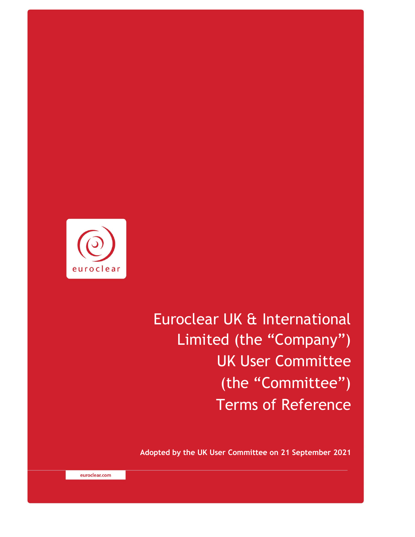

Euroclear UK & International Limited (the "Company") UK User Committee (the "Committee") Terms of Reference

**Adopted by the UK User Committee on 21 September 2021** 

euroclear.com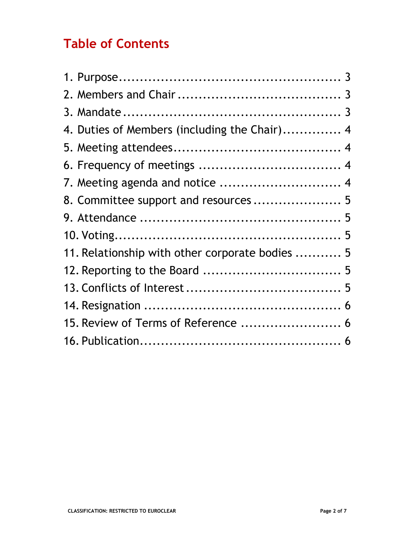# **Table of Contents**

| 4. Duties of Members (including the Chair) 4    |  |
|-------------------------------------------------|--|
|                                                 |  |
|                                                 |  |
| 7. Meeting agenda and notice  4                 |  |
| 8. Committee support and resources 5            |  |
|                                                 |  |
|                                                 |  |
| 11. Relationship with other corporate bodies  5 |  |
|                                                 |  |
|                                                 |  |
|                                                 |  |
| 15. Review of Terms of Reference  6             |  |
|                                                 |  |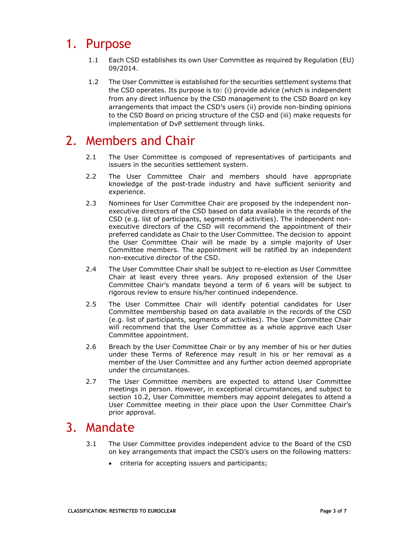# 1. Purpose

- 1.1 Each CSD establishes its own User Committee as required by Regulation (EU) 09/2014.
- 1.2 The User Committee is established for the securities settlement systems that the CSD operates. Its purpose is to: (i) provide advice (which is independent from any direct influence by the CSD management to the CSD Board on key arrangements that impact the CSD's users (ii) provide non-binding opinions to the CSD Board on pricing structure of the CSD and (iii) make requests for implementation of DvP settlement through links.

# 2. Members and Chair

- 2.1 The User Committee is composed of representatives of participants and issuers in the securities settlement system.
- 2.2 The User Committee Chair and members should have appropriate knowledge of the post-trade industry and have sufficient seniority and experience.
- 2.3 Nominees for User Committee Chair are proposed by the independent nonexecutive directors of the CSD based on data available in the records of the CSD (e.g. list of participants, segments of activities). The independent nonexecutive directors of the CSD will recommend the appointment of their preferred candidate as Chair to the User Committee. The decision to appoint the User Committee Chair will be made by a simple majority of User Committee members. The appointment will be ratified by an independent non-executive director of the CSD.
- 2.4 The User Committee Chair shall be subject to re-election as User Committee Chair at least every three years. Any proposed extension of the User Committee Chair's mandate beyond a term of 6 years will be subject to rigorous review to ensure his/her continued independence.
- 2.5 The User Committee Chair will identify potential candidates for User Committee membership based on data available in the records of the CSD (e.g. list of participants, segments of activities). The User Committee Chair will recommend that the User Committee as a whole approve each User Committee appointment.
- 2.6 Breach by the User Committee Chair or by any member of his or her duties under these Terms of Reference may result in his or her removal as a member of the User Committee and any further action deemed appropriate under the circumstances.
- 2.7 The User Committee members are expected to attend User Committee meetings in person. However, in exceptional circumstances, and subject to section 10.2, User Committee members may appoint delegates to attend a User Committee meeting in their place upon the User Committee Chair's prior approval.

# 3. Mandate

- 3.1 The User Committee provides independent advice to the Board of the CSD on key arrangements that impact the CSD's users on the following matters:
	- criteria for accepting issuers and participants;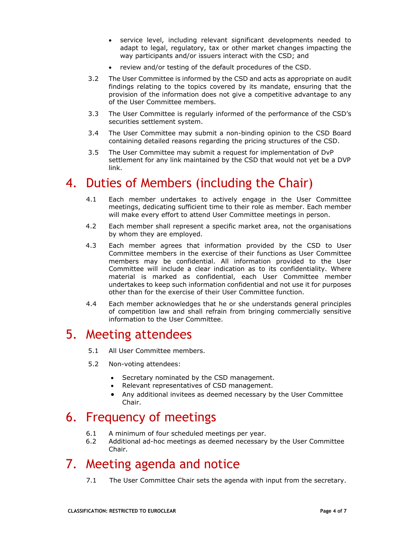- service level, including relevant significant developments needed to adapt to legal, regulatory, tax or other market changes impacting the way participants and/or issuers interact with the CSD; and
- review and/or testing of the default procedures of the CSD.
- 3.2 The User Committee is informed by the CSD and acts as appropriate on audit findings relating to the topics covered by its mandate, ensuring that the provision of the information does not give a competitive advantage to any of the User Committee members.
- 3.3 The User Committee is regularly informed of the performance of the CSD's securities settlement system.
- 3.4 The User Committee may submit a non-binding opinion to the CSD Board containing detailed reasons regarding the pricing structures of the CSD.
- 3.5 The User Committee may submit a request for implementation of DvP settlement for any link maintained by the CSD that would not yet be a DVP link.

# 4. Duties of Members (including the Chair)

- 4.1 Each member undertakes to actively engage in the User Committee meetings, dedicating sufficient time to their role as member. Each member will make every effort to attend User Committee meetings in person.
- 4.2 Each member shall represent a specific market area, not the organisations by whom they are employed.
- 4.3 Each member agrees that information provided by the CSD to User Committee members in the exercise of their functions as User Committee members may be confidential. All information provided to the User Committee will include a clear indication as to its confidentiality. Where material is marked as confidential, each User Committee member undertakes to keep such information confidential and not use it for purposes other than for the exercise of their User Committee function.
- 4.4 Each member acknowledges that he or she understands general principles of competition law and shall refrain from bringing commercially sensitive information to the User Committee.

# 5. Meeting attendees

- 5.1 All User Committee members.
- 5.2 Non-voting attendees:
	- Secretary nominated by the CSD management.
	- Relevant representatives of CSD management.
	- Any additional invitees as deemed necessary by the User Committee Chair.

# 6. Frequency of meetings

- 6.1 A minimum of four scheduled meetings per year.
- 6.2 Additional ad-hoc meetings as deemed necessary by the User Committee Chair.

# 7. Meeting agenda and notice

7.1 The User Committee Chair sets the agenda with input from the secretary.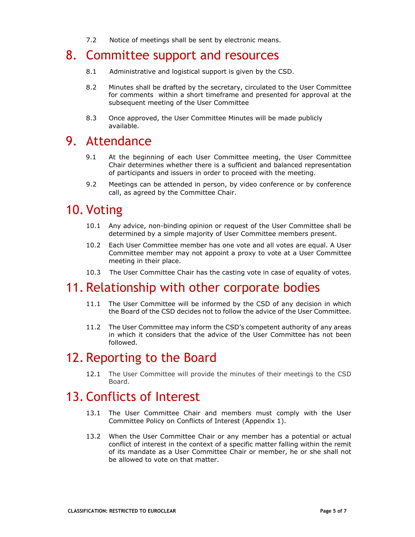7.2 Notice of meetings shall be sent by electronic means.

### 8. Committee support and resources

- 8.1 Administrative and logistical support is given by the CSD.
- 8.2 Minutes shall be drafted by the secretary, circulated to the User Committee for comments within a short timeframe and presented for approval at the subsequent meeting of the User Committee
- 8.3 Once approved, the User Committee Minutes will be made publicly available.

### 9. Attendance

- 9.1 At the beginning of each User Committee meeting, the User Committee Chair determines whether there is a sufficient and balanced representation of participants and issuers in order to proceed with the meeting.
- 9.2 Meetings can be attended in person, by video conference or by conference call, as agreed by the Committee Chair.

# 10. Voting

- 10.1 Any advice, non-binding opinion or request of the User Committee shall be determined by a simple majority of User Committee members present.
- 10.2 Each User Committee member has one vote and all votes are equal. A User Committee member may not appoint a proxy to vote at a User Committee meeting in their place.
- 10.3 The User Committee Chair has the casting vote in case of equality of votes.

### 11. Relationship with other corporate bodies

- 11.1 The User Committee will be informed by the CSD of any decision in which the Board of the CSD decides not to follow the advice of the User Committee.
- 11.2 The User Committee may inform the CSD's competent authority of any areas in which it considers that the advice of the User Committee has not been followed.

### 12. Reporting to the Board

12.1 The User Committee will provide the minutes of their meetings to the CSD Board.

# 13. Conflicts of Interest

- 13.1 The User Committee Chair and members must comply with the User Committee Policy on Conflicts of Interest (Appendix 1).
- 13.2 When the User Committee Chair or any member has a potential or actual conflict of interest in the context of a specific matter falling within the remit of its mandate as a User Committee Chair or member, he or she shall not be allowed to vote on that matter.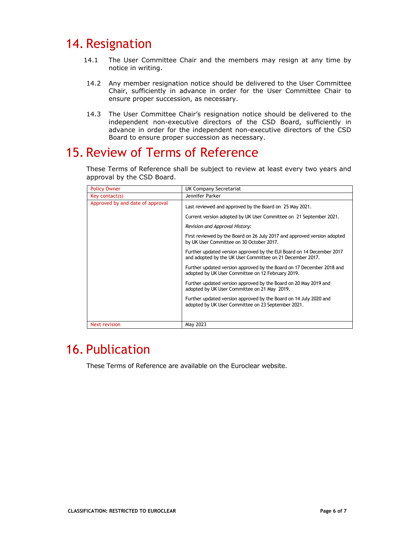# 14. Resignation

- 14.1 The User Committee Chair and the members may resign at any time by notice in writing.
- 14.2 Any member resignation notice should be delivered to the User Committee Chair, sufficiently in advance in order for the User Committee Chair to ensure proper succession, as necessary.
- 14.3 The User Committee Chair's resignation notice should be delivered to the independent non-executive directors of the CSD Board, sufficiently in advance in order for the independent non-executive directors of the CSD Board to ensure proper succession as necessary.

# 15. Review of Terms of Reference

These Terms of Reference shall be subject to review at least every two years and approval by the CSD Board.

| <b>Policy Owner</b>              | UK Company Secretariat                                                                                                             |
|----------------------------------|------------------------------------------------------------------------------------------------------------------------------------|
| Key contact(s)                   | Jennifer Parker                                                                                                                    |
| Approved by and date of approval | Last reviewed and approved by the Board on 25 May 2021.                                                                            |
|                                  | Current version adopted by UK User Committee on 21 September 2021.                                                                 |
|                                  | Revision and Approval History:                                                                                                     |
|                                  | First reviewed by the Board on 26 July 2017 and approved version adopted<br>by UK User Committee on 30 October 2017.               |
|                                  | Further updated version approved by the EUI Board on 14 December 2017<br>and adopted by the UK User Committee on 21 December 2017. |
|                                  | Further updated version approved by the Board on 17 December 2018 and<br>adopted by UK User Committee on 12 February 2019.         |
|                                  | Further updated version approved by the Board on 20 May 2019 and<br>adopted by UK User Committee on 21 May 2019.                   |
|                                  | Further updated version approved by the Board on 14 July 2020 and<br>adopted by UK User Committee on 23 September 2021.            |
|                                  |                                                                                                                                    |
| <b>Next revision</b>             | May 2023                                                                                                                           |

# 16. Publication

These Terms of Reference are available on the Euroclear website.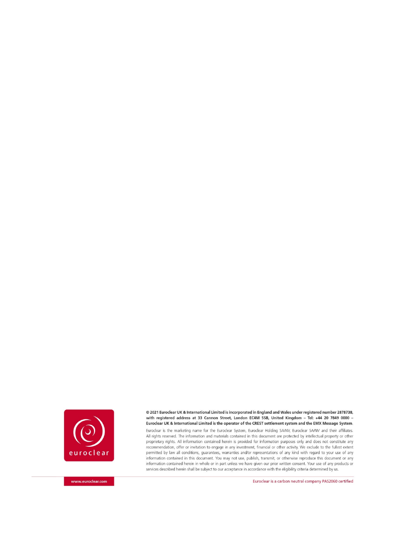

@ 2021 Euroclear UK & International Limited is incorporated in England and Wales under registered number 2878738, with registered address at 33 Cannon Street, London EC4M 5SB, United Kingdom - Tel: +44 20 7849 0000 -Euroclear UK & International Limited is the operator of the CREST settlement system and the EMX Message System.

Euroclear is the marketing name for the Euroclear System, Euroclear Holding SA/NV, Euroclear SA/NV and their affiliates. All rights reserved. The information and materials contained in this document are protected by intellectual property or other proprietary rights. All information contained herein is provided for information purposes only and does not constitute any recommendation, offer or invitation to engage in any investment, financial or other activity. We exclude to the fullest extent permitted by law all conditions, guarantees, warranties and/or representations of any kind with regard to your use of any information contained in this document. You may not use, publish, transmit, or otherwise reproduce this document or any information contained herein in whole or in part unless we have given our prior written consent. Your use of any products or services described herein shall be subject to our acceptance in accordance with the eligibility criteria determined by us.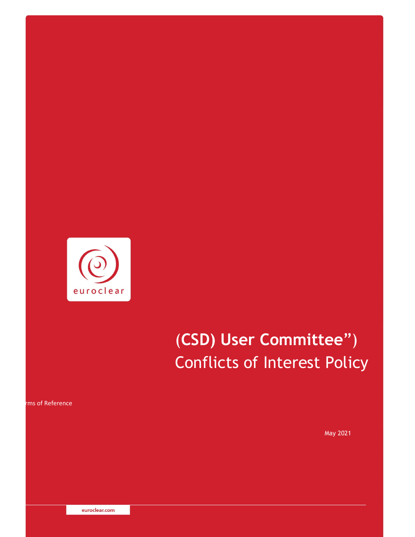

# (**CSD) User Committee**") Conflicts of Interest Policy

ms of Reference

May 2021

euroclear.com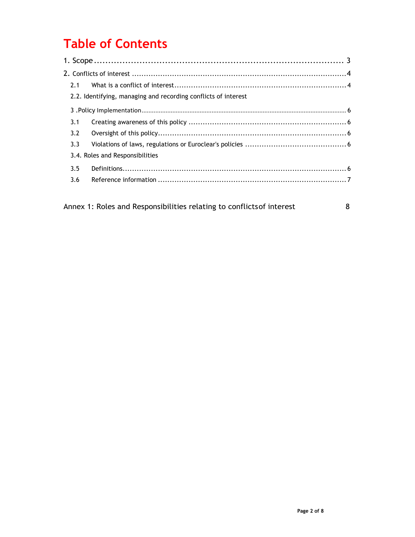# **Table of Contents**

| 2.1 |                                                                |  |
|-----|----------------------------------------------------------------|--|
|     | 2.2. Identifying, managing and recording conflicts of interest |  |
|     |                                                                |  |
| 3.1 |                                                                |  |
| 3.2 |                                                                |  |
| 3.3 |                                                                |  |
|     | 3.4. Roles and Responsibilities                                |  |
| 3.5 |                                                                |  |
| 3.6 |                                                                |  |
|     |                                                                |  |
|     |                                                                |  |

Annex 1: Roles and Responsibilities relating to conflicts of interest 8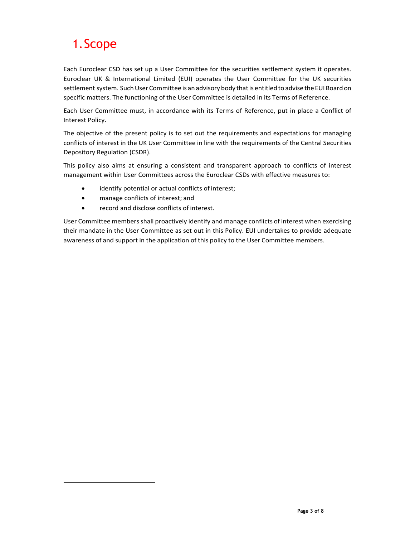# 1.Scope

Each Euroclear CSD has set up a User Committee for the securities settlement system it operates. Euroclear UK & International Limited (EUI) operates the User Committee for the UK securities settlement system. Such User Committee is an advisory body that is entitled to advise the EUI Board on specific matters. The functioning of the User Committee is detailed in its Terms of Reference.

Each User Committee must, in accordance with its Terms of Reference, put in place a Conflict of Interest Policy.

The objective of the present policy is to set out the requirements and expectations for managing conflicts of interest in the UK User Committee in line with the requirements of the Central Securities Depository Regulation (CSDR).

This policy also aims at ensuring a consistent and transparent approach to conflicts of interest management within User Committees across the Euroclear CSDs with effective measures to:

- identify potential or actual conflicts of interest;
- manage conflicts of interest; and
- record and disclose conflicts of interest.

User Committee membersshall proactively identify and manage conflicts of interest when exercising their mandate in the User Committee as set out in this Policy. EUI undertakes to provide adequate awareness of and support in the application of this policy to the User Committee members.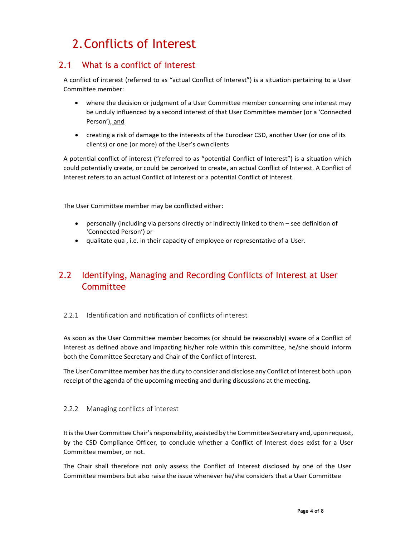# 2.Conflicts of Interest

### 2.1 What is a conflict of interest

A conflict of interest (referred to as "actual Conflict of Interest") is a situation pertaining to a User Committee member:

- where the decision or judgment of a User Committee member concerning one interest may be unduly influenced by a second interest of that User Committee member (or a 'Connected Person'), and
- creating a risk of damage to the interests of the Euroclear CSD, another User (or one of its clients) or one (or more) of the User's ownclients

A potential conflict of interest ("referred to as "potential Conflict of Interest") is a situation which could potentially create, or could be perceived to create, an actual Conflict of Interest. A Conflict of Interest refers to an actual Conflict of Interest or a potential Conflict of Interest.

The User Committee member may be conflicted either:

- personally (including via persons directly or indirectly linked to them see definition of 'Connected Person') or
- qualitate qua , i.e. in their capacity of employee or representative of a User.

### 2.2 Identifying, Managing and Recording Conflicts of Interest at User **Committee**

#### 2.2.1 Identification and notification of conflicts of interest

As soon as the User Committee member becomes (or should be reasonably) aware of a Conflict of Interest as defined above and impacting his/her role within this committee, he/she should inform both the Committee Secretary and Chair of the Conflict of Interest.

The User Committee member hasthe duty to consider and disclose any Conflict of Interest both upon receipt of the agenda of the upcoming meeting and during discussions at the meeting.

#### 2.2.2 Managing conflicts of interest

It is the User Committee Chair's responsibility, assisted by the Committee Secretary and, upon request, by the CSD Compliance Officer, to conclude whether a Conflict of Interest does exist for a User Committee member, or not.

The Chair shall therefore not only assess the Conflict of Interest disclosed by one of the User Committee members but also raise the issue whenever he/she considers that a User Committee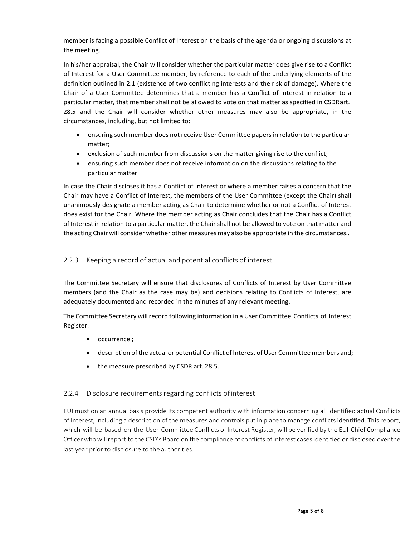member is facing a possible Conflict of Interest on the basis of the agenda or ongoing discussions at the meeting.

In his/her appraisal, the Chair will consider whether the particular matter does give rise to a Conflict of Interest for a User Committee member, by reference to each of the underlying elements of the definition outlined in 2.1 (existence of two conflicting interests and the risk of damage). Where the Chair of a User Committee determines that a member has a Conflict of Interest in relation to a particular matter, that member shall not be allowed to vote on that matter as specified in CSDRart. 28.5 and the Chair will consider whether other measures may also be appropriate, in the circumstances, including, but not limited to:

- ensuring such member does not receive User Committee papersin relation to the particular matter;
- exclusion of such member from discussions on the matter giving rise to the conflict;
- ensuring such member does not receive information on the discussions relating to the particular matter

In case the Chair discloses it has a Conflict of Interest or where a member raises a concern that the Chair may have a Conflict of Interest, the members of the User Committee (except the Chair) shall unanimously designate a member acting as Chair to determine whether or not a Conflict of Interest does exist for the Chair. Where the member acting as Chair concludes that the Chair has a Conflict of Interest in relation to a particular matter, the Chair shall not be allowed to vote on that matter and the acting Chair will consider whether other measures may also be appropriate in the circumstances..

#### 2.2.3 Keeping a record of actual and potential conflicts of interest

The Committee Secretary will ensure that disclosures of Conflicts of Interest by User Committee members (and the Chair as the case may be) and decisions relating to Conflicts of Interest, are adequately documented and recorded in the minutes of any relevant meeting.

The Committee Secretary will record following information in a User Committee Conflicts of Interest Register:

- occurrence ;
- description of the actual or potential Conflict of Interest of User Committee members and;
- the measure prescribed by CSDR art. 28.5.

#### 2.2.4 Disclosure requirements regarding conflicts ofinterest

EUI must on an annual basis provide its competent authority with information concerning all identified actual Conflicts of Interest, including a description of the measures and controls put in place to manage conflictsidentified. This report, which will be based on the User Committee Conflicts of Interest Register, will be verified by the EUI Chief Compliance Officerwhowillreport to the CSD's Board on the compliance of conflicts of interest casesidentified or disclosed over the last year prior to disclosure to the authorities.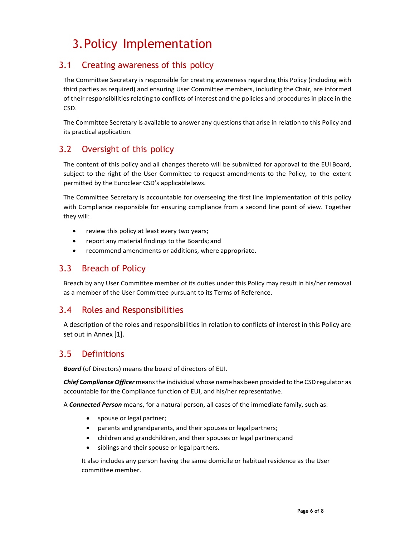# 3.Policy Implementation

### 3.1 Creating awareness of this policy

The Committee Secretary is responsible for creating awareness regarding this Policy (including with third parties as required) and ensuring User Committee members, including the Chair, are informed of their responsibilities relating to conflicts of interest and the policies and procedures in place in the CSD.

The Committee Secretary is available to answer any questions that arise in relation to this Policy and its practical application.

### 3.2 Oversight of this policy

The content of this policy and all changes thereto will be submitted for approval to the EUI Board, subject to the right of the User Committee to request amendments to the Policy, to the extent permitted by the Euroclear CSD's applicable laws.

The Committee Secretary is accountable for overseeing the first line implementation of this policy with Compliance responsible for ensuring compliance from a second line point of view. Together they will:

- review this policy at least every two years;
- report any material findings to the Boards; and
- recommend amendments or additions, where appropriate.

### 3.3 Breach of Policy

Breach by any User Committee member of its duties under this Policy may result in his/her removal as a member of the User Committee pursuant to its Terms of Reference.

### 3.4 Roles and Responsibilities

A description of the roles and responsibilities in relation to conflicts of interest in this Policy are set out in Annex [1].

#### 3.5 Definitions

*Board* (of Directors) means the board of directors of EUI.

*Chief Compliance Officer* means the individual whose name has been provided to the CSD regulator as accountable for the Compliance function of EUI, and his/her representative.

A *Connected Person* means, for a natural person, all cases of the immediate family, such as:

- spouse or legal partner;
- parents and grandparents, and their spouses or legal partners;
- children and grandchildren, and their spouses or legal partners; and
- siblings and their spouse or legal partners.

It also includes any person having the same domicile or habitual residence as the User committee member.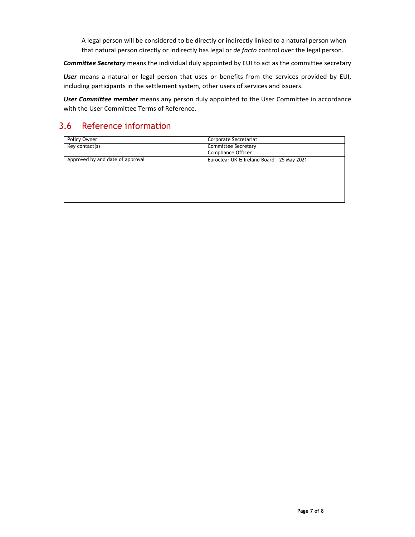A legal person will be considered to be directly or indirectly linked to a natural person when that natural person directly or indirectly has legal or *de facto* control over the legal person.

*Committee Secretary* means the individual duly appointed by EUI to act as the committee secretary

*User* means a natural or legal person that uses or benefits from the services provided by EUI, including participants in the settlement system, other users of services and issuers.

*User Committee member* means any person duly appointed to the User Committee in accordance with the User Committee Terms of Reference.

### 3.6 Reference information

| Policy Owner                     | Corporate Secretariat                      |
|----------------------------------|--------------------------------------------|
| Key contact(s)                   | <b>Committee Secretary</b>                 |
|                                  | Compliance Officer                         |
| Approved by and date of approval | Euroclear UK & Ireland Board - 25 May 2021 |
|                                  |                                            |
|                                  |                                            |
|                                  |                                            |
|                                  |                                            |
|                                  |                                            |
|                                  |                                            |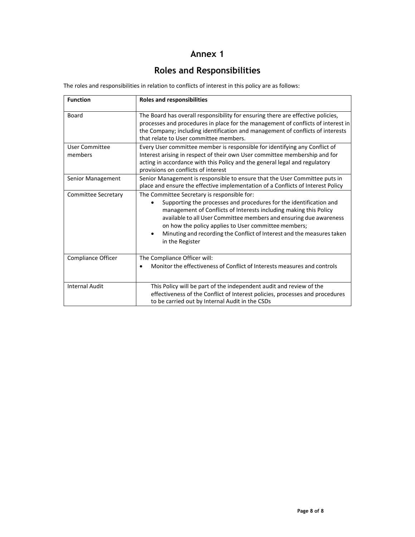### **Annex 1**

### **Roles and Responsibilities**

The roles and responsibilities in relation to conflicts of interest in this policy are as follows:

| <b>Function</b>                  | <b>Roles and responsibilities</b>                                                                                                                                                                                                                                                                                                                                                                                      |
|----------------------------------|------------------------------------------------------------------------------------------------------------------------------------------------------------------------------------------------------------------------------------------------------------------------------------------------------------------------------------------------------------------------------------------------------------------------|
| Board                            | The Board has overall responsibility for ensuring there are effective policies,<br>processes and procedures in place for the management of conflicts of interest in<br>the Company; including identification and management of conflicts of interests<br>that relate to User committee members.                                                                                                                        |
| <b>User Committee</b><br>members | Every User committee member is responsible for identifying any Conflict of<br>Interest arising in respect of their own User committee membership and for<br>acting in accordance with this Policy and the general legal and regulatory<br>provisions on conflicts of interest                                                                                                                                          |
| Senior Management                | Senior Management is responsible to ensure that the User Committee puts in<br>place and ensure the effective implementation of a Conflicts of Interest Policy                                                                                                                                                                                                                                                          |
| Committee Secretary              | The Committee Secretary is responsible for:<br>Supporting the processes and procedures for the identification and<br>management of Conflicts of Interests including making this Policy<br>available to all User Committee members and ensuring due awareness<br>on how the policy applies to User committee members;<br>Minuting and recording the Conflict of Interest and the measures taken<br>٠<br>in the Register |
| Compliance Officer               | The Compliance Officer will:<br>Monitor the effectiveness of Conflict of Interests measures and controls                                                                                                                                                                                                                                                                                                               |
| <b>Internal Audit</b>            | This Policy will be part of the independent audit and review of the<br>effectiveness of the Conflict of Interest policies, processes and procedures<br>to be carried out by Internal Audit in the CSDs                                                                                                                                                                                                                 |